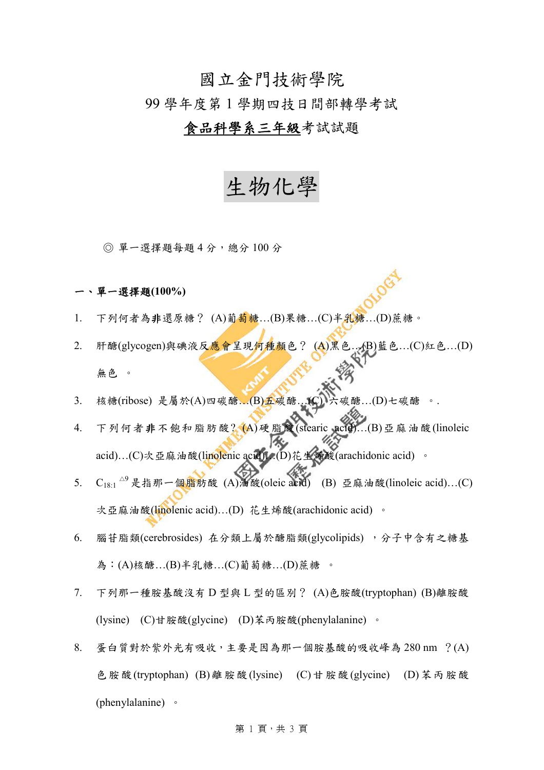## 國立金門技術學院

### 99 學年度第 1 學期四技日間部轉學考試

## 食品科學系三年級考試試題

# 生物化學

◎ 單一選擇題每題 4 分,總分 100 分

### 一、單一選擇題**(100%)**

- 1. 下列何者為非還原糖? (A)葡萄糖...(B)果糖...(C)半乳糖...(D)蔗糖。
- 2. 肝醣(glycogen)與碘液反應會呈現何種顏色? (A)黑色...(B)藍色...(C)紅色...(D) 無色 。
- 3. 核糖(ribose) 是屬於(A)四碳醣…(B)五碳醣…(C)六碳醣…(D)七碳醣
- 4. 下列何者非不飽和脂肪酸? (A)硬脂酸(stearic acid)…(B)亞麻油酸(linoleic acid)…(C)次亞麻油酸(linolenic acid). (D)花生烯酸(arachidonic acid) 。
- 5.  $C_{18:1}$   $^{\vartriangle^9}$ 是指那一個脂肪酸 (A)油酸(oleic acid) (B) 亞麻油酸(linoleic acid)...(C) 次亞麻油酸(linolenic acid)...(D) 花生烯酸(arachidonic acid) 。
- 6. 腦苷脂類(cerebrosides) 在分類上屬於醣脂類(glycolipids) , 分子中含有之糖基 為:(A)核醣…(B)半乳糖…(C)葡萄糖…(D)蔗糖 。
- 7. 下列那一種胺基酸沒有 D 型與 L 型的區別? (A)色胺酸(tryptophan) (B)離胺酸 (lysine) (C)甘胺酸(glycine) (D)苯丙胺酸(phenylalanine) 。
- 8. 蛋白質對於紫外光有吸收,主要是因為那一個胺基酸的吸收峰為 280 nm ?(A) 色胺酸(tryptophan) (B)離胺酸(lysine) (C)甘胺酸(glycine) (D)苯丙胺酸 (phenylalanine) 。

#### 第1頁,共3頁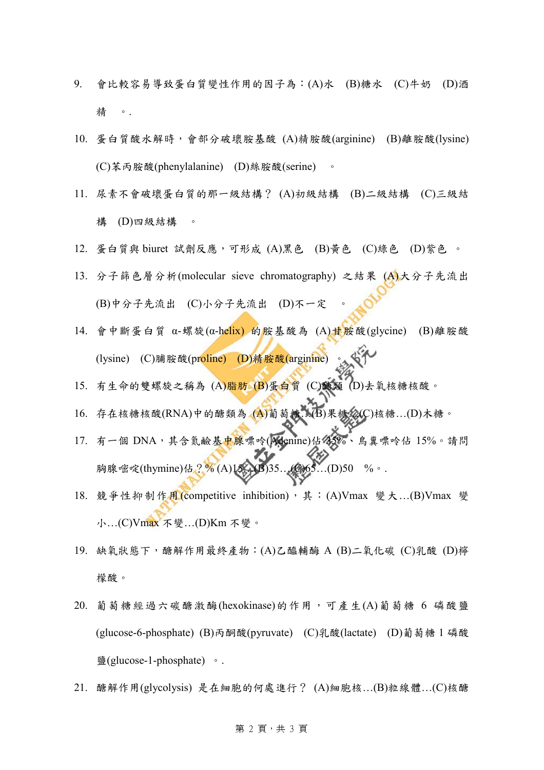- 9. 會比較容易導致蛋白質變性作用的因子為:(A)水 (B)糖水 (C)牛奶 (D)酒 精 。.
- 10. 蛋白質酸水解時,會部分破壞胺基酸 (A)精胺酸(arginine) (B)離胺酸(lysine) (C)苯丙胺酸(phenylalanine) (D)絲胺酸(serine) 。
- 11. 尿素不會破壞蛋白質的那一級結構? (A)初級結構 (B)二級結構 (C)三級結 構 (D)四級結構 。
- 12. 蛋白質與 biuret 試劑反應,可形成 (A)黑色 (B)黃色 (C)綠色 (D)紫色 。
- 13. 分子篩色層分析(molecular sieve chromatography) 之結果 (A)大分子先流出 (B)中分子先流出 (C)小分子先流出 (D)不一定
- 14. 會中斷蛋白質 α-螺旋(α-helix) 的胺基酸為 (A)甘胺酸(glycine) (B)離胺酸 (lysine) (C)脯胺酸(proline) (D)精胺酸(arginine)
- 15. 有生命的雙螺旋之稱為 (A)脂肪 (B)蛋白質 (C)醣類 (D)去氧核糖核酸。
- 16. 存在核糖核酸(RNA)中的醣類為 (A)葡萄糖…(B)果糖…(C)核糖…(D)木糖。
- 17. 有一個 DNA,其含氮鹼基中腺嘌呤(Adenine)佔 35%、鳥糞嘌呤佔 15%。請問 胸腺嘧啶(thymine)佔?% (A)15. (B)35…(C)65…(D)50 %。.
- 18. 競爭性抑制作用(competitive inhibition), 其: (A)Vmax 變大…(B)Vmax 變 小…(C)Vmax 不變…(D)Km 不變。
- 19. 缺氧狀態下,醣解作用最終產物:(A)乙醯輔酶 A (B)二氧化碳 (C)乳酸 (D)檸 檬酸。
- $20.$  葡萄糖經過六碳醣激酶(hexokinase)的作用,可產生 $(A)$ 葡萄糖 6 磷酸鹽 (glucose-6-phosphate) (B)丙酮酸(pyruvate) (C)乳酸(lactate) (D)葡萄糖 1 磷酸 鹽(glucose-1-phosphate) 。.
- 21. 醣解作用(glycolysis) 是在細胞的何處進行? (A)細胞核…(B)粒線體…(C)核醣

### 第 2 頁,共3頁